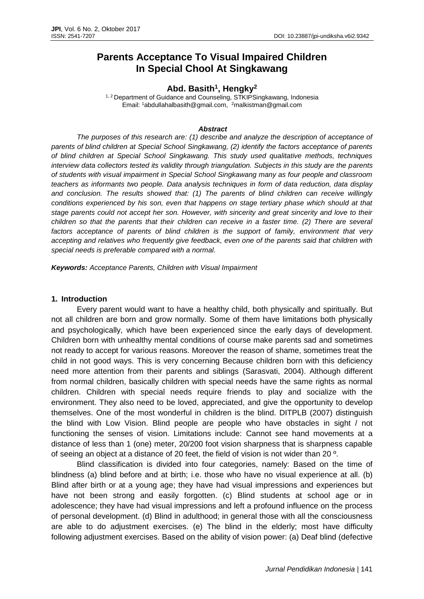# **Parents Acceptance To Visual Impaired Children In Special Chool At Singkawang**

### **Abd. Basith<sup>1</sup> , Hengky<sup>2</sup>**

<sup>1, 2</sup> Department of Guidance and Counseling, STKIPSingkawang, Indonesia Email: <sup>1</sup>[abdullahalbasith@gmail.com,](mailto:abdullahalbasith@gmail.com) <sup>2</sup>malkistman@gmail.com

#### *Abstract*

*The purposes of this research are: (1) describe and analyze the description of acceptance of parents of blind children at Special School Singkawang, (2) identify the factors acceptance of parents of blind children at Special School Singkawang. This study used qualitative methods, techniques interview data collectors tested its validity through triangulation. Subjects in this study are the parents of students with visual impairment in Special School Singkawang many as four people and classroom teachers as informants two people. Data analysis techniques in form of data reduction, data display and conclusion. The results showed that: (1) The parents of blind children can receive willingly conditions experienced by his son, even that happens on stage tertiary phase which should at that stage parents could not accept her son. However, with sincerity and great sincerity and love to their children so that the parents that their children can receive in a faster time. (2) There are several factors acceptance of parents of blind children is the support of family, environment that very accepting and relatives who frequently give feedback, even one of the parents said that children with special needs is preferable compared with a normal.*

*Keywords: Acceptance Parents, Children with Visual Impairment*

#### **1. Introduction**

Every parent would want to have a healthy child, both physically and spiritually. But not all children are born and grow normally. Some of them have limitations both physically and psychologically, which have been experienced since the early days of development. Children born with unhealthy mental conditions of course make parents sad and sometimes not ready to accept for various reasons. Moreover the reason of shame, sometimes treat the child in not good ways. This is very concerning Because children born with this deficiency need more attention from their parents and siblings (Sarasvati, 2004). Although different from normal children, basically children with special needs have the same rights as normal children. Children with special needs require friends to play and socialize with the environment. They also need to be loved, appreciated, and give the opportunity to develop themselves. One of the most wonderful in children is the blind. DITPLB (2007) distinguish the blind with Low Vision. Blind people are people who have obstacles in sight / not functioning the senses of vision. Limitations include: Cannot see hand movements at a distance of less than 1 (one) meter, 20/200 foot vision sharpness that is sharpness capable of seeing an object at a distance of 20 feet, the field of vision is not wider than 20 º.

Blind classification is divided into four categories, namely: Based on the time of blindness (a) blind before and at birth; i.e. those who have no visual experience at all. (b) Blind after birth or at a young age; they have had visual impressions and experiences but have not been strong and easily forgotten. (c) Blind students at school age or in adolescence; they have had visual impressions and left a profound influence on the process of personal development. (d) Blind in adulthood; in general those with all the consciousness are able to do adjustment exercises. (e) The blind in the elderly; most have difficulty following adjustment exercises. Based on the ability of vision power: (a) Deaf blind (defective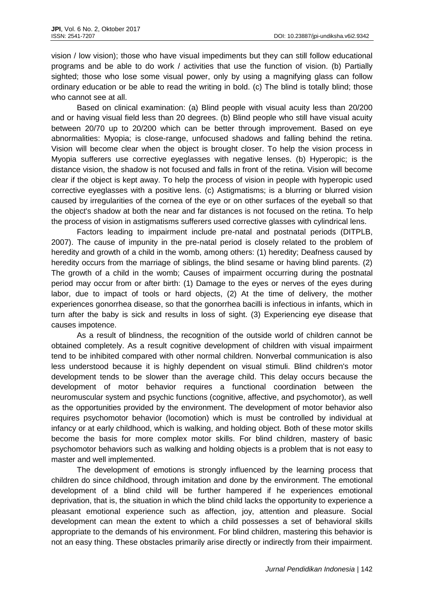vision / low vision); those who have visual impediments but they can still follow educational programs and be able to do work / activities that use the function of vision. (b) Partially sighted; those who lose some visual power, only by using a magnifying glass can follow ordinary education or be able to read the writing in bold. (c) The blind is totally blind; those who cannot see at all.

Based on clinical examination: (a) Blind people with visual acuity less than 20/200 and or having visual field less than 20 degrees. (b) Blind people who still have visual acuity between 20/70 up to 20/200 which can be better through improvement. Based on eye abnormalities: Myopia; is close-range, unfocused shadows and falling behind the retina. Vision will become clear when the object is brought closer. To help the vision process in Myopia sufferers use corrective eyeglasses with negative lenses. (b) Hyperopic; is the distance vision, the shadow is not focused and falls in front of the retina. Vision will become clear if the object is kept away. To help the process of vision in people with hyperopic used corrective eyeglasses with a positive lens. (c) Astigmatisms; is a blurring or blurred vision caused by irregularities of the cornea of the eye or on other surfaces of the eyeball so that the object's shadow at both the near and far distances is not focused on the retina. To help the process of vision in astigmatisms sufferers used corrective glasses with cylindrical lens.

Factors leading to impairment include pre-natal and postnatal periods (DITPLB, 2007). The cause of impunity in the pre-natal period is closely related to the problem of heredity and growth of a child in the womb, among others: (1) heredity; Deafness caused by heredity occurs from the marriage of siblings, the blind sesame or having blind parents. (2) The growth of a child in the womb; Causes of impairment occurring during the postnatal period may occur from or after birth: (1) Damage to the eyes or nerves of the eyes during labor, due to impact of tools or hard objects, (2) At the time of delivery, the mother experiences gonorrhea disease, so that the gonorrhea bacilli is infectious in infants, which in turn after the baby is sick and results in loss of sight. (3) Experiencing eye disease that causes impotence.

As a result of blindness, the recognition of the outside world of children cannot be obtained completely. As a result cognitive development of children with visual impairment tend to be inhibited compared with other normal children. Nonverbal communication is also less understood because it is highly dependent on visual stimuli. Blind children's motor development tends to be slower than the average child. This delay occurs because the development of motor behavior requires a functional coordination between the neuromuscular system and psychic functions (cognitive, affective, and psychomotor), as well as the opportunities provided by the environment. The development of motor behavior also requires psychomotor behavior (locomotion) which is must be controlled by individual at infancy or at early childhood, which is walking, and holding object. Both of these motor skills become the basis for more complex motor skills. For blind children, mastery of basic psychomotor behaviors such as walking and holding objects is a problem that is not easy to master and well implemented.

The development of emotions is strongly influenced by the learning process that children do since childhood, through imitation and done by the environment. The emotional development of a blind child will be further hampered if he experiences emotional deprivation, that is, the situation in which the blind child lacks the opportunity to experience a pleasant emotional experience such as affection, joy, attention and pleasure. Social development can mean the extent to which a child possesses a set of behavioral skills appropriate to the demands of his environment. For blind children, mastering this behavior is not an easy thing. These obstacles primarily arise directly or indirectly from their impairment.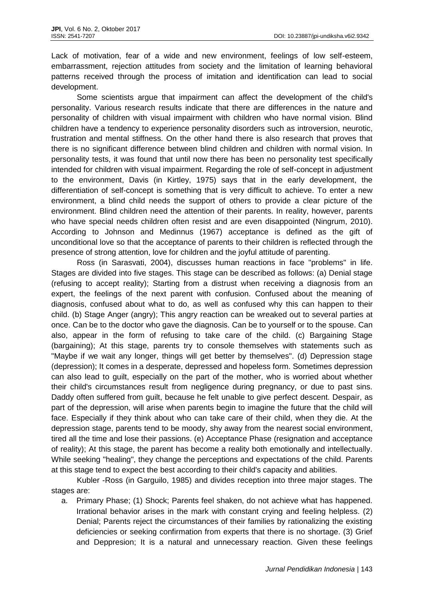Lack of motivation, fear of a wide and new environment, feelings of low self-esteem, embarrassment, rejection attitudes from society and the limitation of learning behavioral patterns received through the process of imitation and identification can lead to social development.

Some scientists argue that impairment can affect the development of the child's personality. Various research results indicate that there are differences in the nature and personality of children with visual impairment with children who have normal vision. Blind children have a tendency to experience personality disorders such as introversion, neurotic, frustration and mental stiffness. On the other hand there is also research that proves that there is no significant difference between blind children and children with normal vision. In personality tests, it was found that until now there has been no personality test specifically intended for children with visual impairment. Regarding the role of self-concept in adjustment to the environment, Davis (in Kirtley, 1975) says that in the early development, the differentiation of self-concept is something that is very difficult to achieve. To enter a new environment, a blind child needs the support of others to provide a clear picture of the environment. Blind children need the attention of their parents. In reality, however, parents who have special needs children often resist and are even disappointed (Ningrum, 2010). According to Johnson and Medinnus (1967) acceptance is defined as the gift of unconditional love so that the acceptance of parents to their children is reflected through the presence of strong attention, love for children and the joyful attitude of parenting.

Ross (in Sarasvati, 2004), discusses human reactions in face "problems" in life. Stages are divided into five stages. This stage can be described as follows: (a) Denial stage (refusing to accept reality); Starting from a distrust when receiving a diagnosis from an expert, the feelings of the next parent with confusion. Confused about the meaning of diagnosis, confused about what to do, as well as confused why this can happen to their child. (b) Stage Anger (angry); This angry reaction can be wreaked out to several parties at once. Can be to the doctor who gave the diagnosis. Can be to yourself or to the spouse. Can also, appear in the form of refusing to take care of the child. (c) Bargaining Stage (bargaining); At this stage, parents try to console themselves with statements such as "Maybe if we wait any longer, things will get better by themselves". (d) Depression stage (depression); It comes in a desperate, depressed and hopeless form. Sometimes depression can also lead to guilt, especially on the part of the mother, who is worried about whether their child's circumstances result from negligence during pregnancy, or due to past sins. Daddy often suffered from guilt, because he felt unable to give perfect descent. Despair, as part of the depression, will arise when parents begin to imagine the future that the child will face. Especially if they think about who can take care of their child, when they die. At the depression stage, parents tend to be moody, shy away from the nearest social environment, tired all the time and lose their passions. (e) Acceptance Phase (resignation and acceptance of reality); At this stage, the parent has become a reality both emotionally and intellectually. While seeking "healing", they change the perceptions and expectations of the child. Parents at this stage tend to expect the best according to their child's capacity and abilities.

Kubler -Ross (in Garguilo, 1985) and divides reception into three major stages. The stages are:

a. Primary Phase; (1) Shock; Parents feel shaken, do not achieve what has happened. Irrational behavior arises in the mark with constant crying and feeling helpless. (2) Denial; Parents reject the circumstances of their families by rationalizing the existing deficiencies or seeking confirmation from experts that there is no shortage. (3) Grief and Deppresion; It is a natural and unnecessary reaction. Given these feelings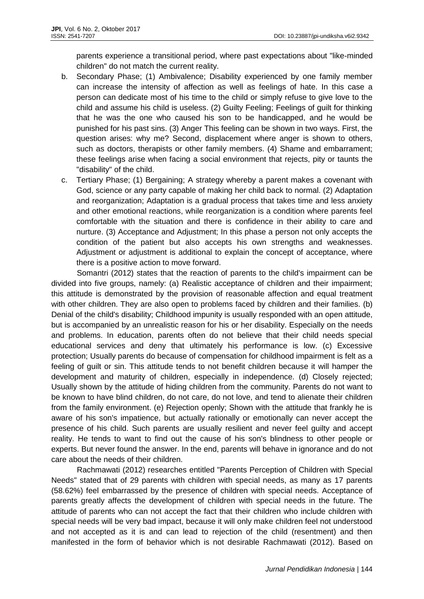parents experience a transitional period, where past expectations about "like-minded children" do not match the current reality.

- b. Secondary Phase; (1) Ambivalence; Disability experienced by one family member can increase the intensity of affection as well as feelings of hate. In this case a person can dedicate most of his time to the child or simply refuse to give love to the child and assume his child is useless. (2) Guilty Feeling; Feelings of guilt for thinking that he was the one who caused his son to be handicapped, and he would be punished for his past sins. (3) Anger This feeling can be shown in two ways. First, the question arises: why me? Second, displacement where anger is shown to others, such as doctors, therapists or other family members. (4) Shame and embarrament; these feelings arise when facing a social environment that rejects, pity or taunts the "disability" of the child.
- c. Tertiary Phase; (1) Bergaining; A strategy whereby a parent makes a covenant with God, science or any party capable of making her child back to normal. (2) Adaptation and reorganization; Adaptation is a gradual process that takes time and less anxiety and other emotional reactions, while reorganization is a condition where parents feel comfortable with the situation and there is confidence in their ability to care and nurture. (3) Acceptance and Adjustment; In this phase a person not only accepts the condition of the patient but also accepts his own strengths and weaknesses. Adjustment or adjustment is additional to explain the concept of acceptance, where there is a positive action to move forward.

Somantri (2012) states that the reaction of parents to the child's impairment can be divided into five groups, namely: (a) Realistic acceptance of children and their impairment; this attitude is demonstrated by the provision of reasonable affection and equal treatment with other children. They are also open to problems faced by children and their families. (b) Denial of the child's disability; Childhood impunity is usually responded with an open attitude, but is accompanied by an unrealistic reason for his or her disability. Especially on the needs and problems. In education, parents often do not believe that their child needs special educational services and deny that ultimately his performance is low. (c) Excessive protection; Usually parents do because of compensation for childhood impairment is felt as a feeling of guilt or sin. This attitude tends to not benefit children because it will hamper the development and maturity of children, especially in independence. (d) Closely rejected; Usually shown by the attitude of hiding children from the community. Parents do not want to be known to have blind children, do not care, do not love, and tend to alienate their children from the family environment. (e) Rejection openly; Shown with the attitude that frankly he is aware of his son's impatience, but actually rationally or emotionally can never accept the presence of his child. Such parents are usually resilient and never feel guilty and accept reality. He tends to want to find out the cause of his son's blindness to other people or experts. But never found the answer. In the end, parents will behave in ignorance and do not care about the needs of their children.

Rachmawati (2012) researches entitled "Parents Perception of Children with Special Needs" stated that of 29 parents with children with special needs, as many as 17 parents (58.62%) feel embarrassed by the presence of children with special needs. Acceptance of parents greatly affects the development of children with special needs in the future. The attitude of parents who can not accept the fact that their children who include children with special needs will be very bad impact, because it will only make children feel not understood and not accepted as it is and can lead to rejection of the child (resentment) and then manifested in the form of behavior which is not desirable Rachmawati (2012). Based on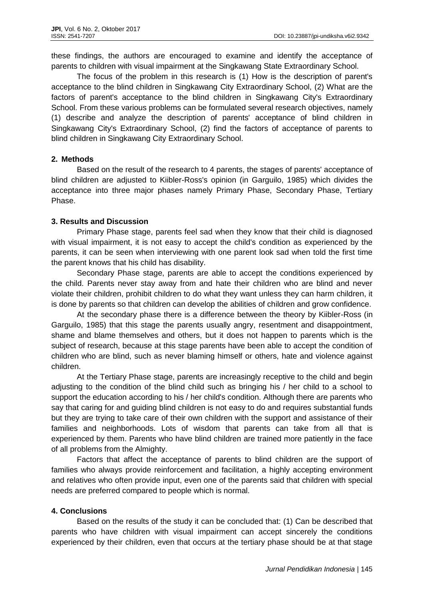these findings, the authors are encouraged to examine and identify the acceptance of parents to children with visual impairment at the Singkawang State Extraordinary School.

The focus of the problem in this research is (1) How is the description of parent's acceptance to the blind children in Singkawang City Extraordinary School, (2) What are the factors of parent's acceptance to the blind children in Singkawang City's Extraordinary School. From these various problems can be formulated several research objectives, namely (1) describe and analyze the description of parents' acceptance of blind children in Singkawang City's Extraordinary School, (2) find the factors of acceptance of parents to blind children in Singkawang City Extraordinary School.

# **2. Methods**

Based on the result of the research to 4 parents, the stages of parents' acceptance of blind children are adjusted to Kiibler-Ross's opinion (in Garguilo, 1985) which divides the acceptance into three major phases namely Primary Phase, Secondary Phase, Tertiary Phase.

# **3. Results and Discussion**

Primary Phase stage, parents feel sad when they know that their child is diagnosed with visual impairment, it is not easy to accept the child's condition as experienced by the parents, it can be seen when interviewing with one parent look sad when told the first time the parent knows that his child has disability.

Secondary Phase stage, parents are able to accept the conditions experienced by the child. Parents never stay away from and hate their children who are blind and never violate their children, prohibit children to do what they want unless they can harm children, it is done by parents so that children can develop the abilities of children and grow confidence.

At the secondary phase there is a difference between the theory by Kiibler-Ross (in Garguilo, 1985) that this stage the parents usually angry, resentment and disappointment, shame and blame themselves and others, but it does not happen to parents which is the subject of research, because at this stage parents have been able to accept the condition of children who are blind, such as never blaming himself or others, hate and violence against children.

At the Tertiary Phase stage, parents are increasingly receptive to the child and begin adjusting to the condition of the blind child such as bringing his / her child to a school to support the education according to his / her child's condition. Although there are parents who say that caring for and guiding blind children is not easy to do and requires substantial funds but they are trying to take care of their own children with the support and assistance of their families and neighborhoods. Lots of wisdom that parents can take from all that is experienced by them. Parents who have blind children are trained more patiently in the face of all problems from the Almighty.

Factors that affect the acceptance of parents to blind children are the support of families who always provide reinforcement and facilitation, a highly accepting environment and relatives who often provide input, even one of the parents said that children with special needs are preferred compared to people which is normal.

## **4. Conclusions**

Based on the results of the study it can be concluded that: (1) Can be described that parents who have children with visual impairment can accept sincerely the conditions experienced by their children, even that occurs at the tertiary phase should be at that stage